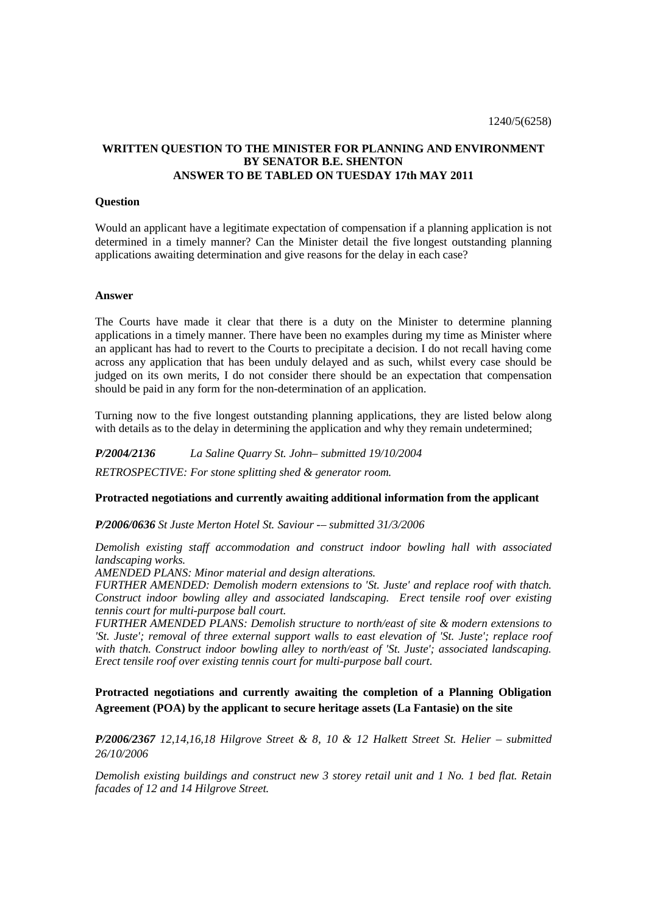# **WRITTEN QUESTION TO THE MINISTER FOR PLANNING AND ENVIRONMENT BY SENATOR B.E. SHENTON ANSWER TO BE TABLED ON TUESDAY 17th MAY 2011**

### **Question**

Would an applicant have a legitimate expectation of compensation if a planning application is not determined in a timely manner? Can the Minister detail the five longest outstanding planning applications awaiting determination and give reasons for the delay in each case?

### **Answer**

The Courts have made it clear that there is a duty on the Minister to determine planning applications in a timely manner. There have been no examples during my time as Minister where an applicant has had to revert to the Courts to precipitate a decision. I do not recall having come across any application that has been unduly delayed and as such, whilst every case should be judged on its own merits, I do not consider there should be an expectation that compensation should be paid in any form for the non-determination of an application.

Turning now to the five longest outstanding planning applications, they are listed below along with details as to the delay in determining the application and why they remain undetermined;

*P/2004/2136 La Saline Quarry St. John– submitted 19/10/2004 RETROSPECTIVE: For stone splitting shed & generator room.* 

## **Protracted negotiations and currently awaiting additional information from the applicant**

*P/2006/0636 St Juste Merton Hotel St. Saviour -– submitted 31/3/2006* 

*Demolish existing staff accommodation and construct indoor bowling hall with associated landscaping works.* 

*AMENDED PLANS: Minor material and design alterations.* 

*FURTHER AMENDED: Demolish modern extensions to 'St. Juste' and replace roof with thatch. Construct indoor bowling alley and associated landscaping. Erect tensile roof over existing tennis court for multi-purpose ball court.* 

*FURTHER AMENDED PLANS: Demolish structure to north/east of site & modern extensions to 'St. Juste'; removal of three external support walls to east elevation of 'St. Juste'; replace roof with thatch. Construct indoor bowling alley to north/east of 'St. Juste'; associated landscaping. Erect tensile roof over existing tennis court for multi-purpose ball court.* 

# **Protracted negotiations and currently awaiting the completion of a Planning Obligation Agreement (POA) by the applicant to secure heritage assets (La Fantasie) on the site**

*P/2006/2367 12,14,16,18 Hilgrove Street & 8, 10 & 12 Halkett Street St. Helier – submitted 26/10/2006*

*Demolish existing buildings and construct new 3 storey retail unit and 1 No. 1 bed flat. Retain facades of 12 and 14 Hilgrove Street.*